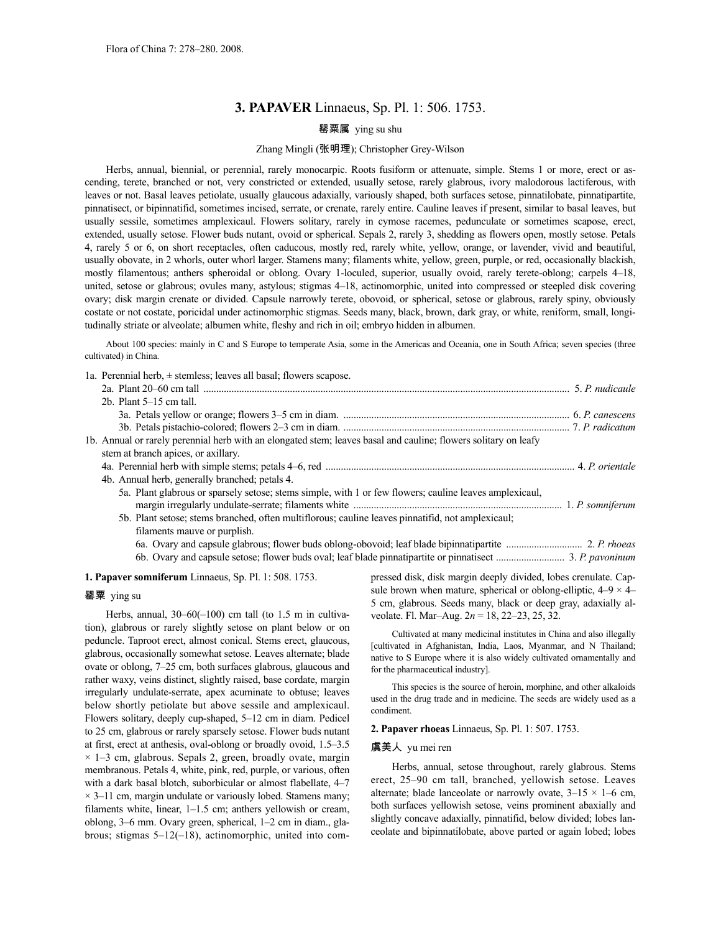# **3. PAPAVER** Linnaeus, Sp. Pl. 1: 506. 1753.

# 罂粟属 ying su shu

## Zhang Mingli (张明理); Christopher Grey-Wilson

Herbs, annual, biennial, or perennial, rarely monocarpic. Roots fusiform or attenuate, simple. Stems 1 or more, erect or ascending, terete, branched or not, very constricted or extended, usually setose, rarely glabrous, ivory malodorous lactiferous, with leaves or not. Basal leaves petiolate, usually glaucous adaxially, variously shaped, both surfaces setose, pinnatilobate, pinnatipartite, pinnatisect, or bipinnatifid, sometimes incised, serrate, or crenate, rarely entire. Cauline leaves if present, similar to basal leaves, but usually sessile, sometimes amplexicaul. Flowers solitary, rarely in cymose racemes, pedunculate or sometimes scapose, erect, extended, usually setose. Flower buds nutant, ovoid or spherical. Sepals 2, rarely 3, shedding as flowers open, mostly setose. Petals 4, rarely 5 or 6, on short receptacles, often caducous, mostly red, rarely white, yellow, orange, or lavender, vivid and beautiful, usually obovate, in 2 whorls, outer whorl larger. Stamens many; filaments white, yellow, green, purple, or red, occasionally blackish, mostly filamentous; anthers spheroidal or oblong. Ovary 1-loculed, superior, usually ovoid, rarely terete-oblong; carpels 4–18, united, setose or glabrous; ovules many, astylous; stigmas 4–18, actinomorphic, united into compressed or steepled disk covering ovary; disk margin crenate or divided. Capsule narrowly terete, obovoid, or spherical, setose or glabrous, rarely spiny, obviously costate or not costate, poricidal under actinomorphic stigmas. Seeds many, black, brown, dark gray, or white, reniform, small, longitudinally striate or alveolate; albumen white, fleshy and rich in oil; embryo hidden in albumen.

About 100 species: mainly in C and S Europe to temperate Asia, some in the Americas and Oceania, one in South Africa; seven species (three cultivated) in China.

1a. Perennial herb,  $\pm$  stemless; leaves all basal; flowers scapose.

| 2 $b$ . Plant 5–15 cm tall.                                                                                     |  |
|-----------------------------------------------------------------------------------------------------------------|--|
|                                                                                                                 |  |
|                                                                                                                 |  |
| 1b. Annual or rarely perennial herb with an elongated stem; leaves basal and cauline; flowers solitary on leafy |  |
| stem at branch apices, or axillary.                                                                             |  |
|                                                                                                                 |  |
| 4b. Annual herb, generally branched; petals 4.                                                                  |  |
| 5a. Plant glabrous or sparsely setose; stems simple, with 1 or few flowers; cauline leaves amplexicaul,         |  |
|                                                                                                                 |  |
| 5b. Plant setose; stems branched, often multiflorous; cauline leaves pinnatifid, not amplexicaul;               |  |
| filaments mauve or purplish.                                                                                    |  |
|                                                                                                                 |  |
|                                                                                                                 |  |

**1. Papaver somniferum** Linnaeus, Sp. Pl. 1: 508. 1753.

## 罂粟 ying su

Herbs, annual, 30-60(-100) cm tall (to 1.5 m in cultivation), glabrous or rarely slightly setose on plant below or on peduncle. Taproot erect, almost conical. Stems erect, glaucous, glabrous, occasionally somewhat setose. Leaves alternate; blade ovate or oblong, 7–25 cm, both surfaces glabrous, glaucous and rather waxy, veins distinct, slightly raised, base cordate, margin irregularly undulate-serrate, apex acuminate to obtuse; leaves below shortly petiolate but above sessile and amplexicaul. Flowers solitary, deeply cup-shaped, 5–12 cm in diam. Pedicel to 25 cm, glabrous or rarely sparsely setose. Flower buds nutant at first, erect at anthesis, oval-oblong or broadly ovoid, 1.5–3.5  $\times$  1–3 cm, glabrous. Sepals 2, green, broadly ovate, margin membranous. Petals 4, white, pink, red, purple, or various, often with a dark basal blotch, suborbicular or almost flabellate, 4–7  $\times$  3–11 cm, margin undulate or variously lobed. Stamens many; filaments white, linear, 1–1.5 cm; anthers yellowish or cream, oblong, 3–6 mm. Ovary green, spherical, 1–2 cm in diam., glabrous; stigmas 5–12(–18), actinomorphic, united into compressed disk, disk margin deeply divided, lobes crenulate. Capsule brown when mature, spherical or oblong-elliptic,  $4-9 \times 4-$ 5 cm, glabrous. Seeds many, black or deep gray, adaxially alveolate. Fl. Mar–Aug. 2*n* = 18, 22–23, 25, 32.

Cultivated at many medicinal institutes in China and also illegally [cultivated in Afghanistan, India, Laos, Myanmar, and N Thailand; native to S Europe where it is also widely cultivated ornamentally and for the pharmaceutical industry].

This species is the source of heroin, morphine, and other alkaloids used in the drug trade and in medicine. The seeds are widely used as a condiment.

#### **2. Papaver rhoeas** Linnaeus, Sp. Pl. 1: 507. 1753.

## 虞美人 yu mei ren

Herbs, annual, setose throughout, rarely glabrous. Stems erect, 25–90 cm tall, branched, yellowish setose. Leaves alternate; blade lanceolate or narrowly ovate,  $3-15 \times 1-6$  cm, both surfaces yellowish setose, veins prominent abaxially and slightly concave adaxially, pinnatifid, below divided; lobes lanceolate and bipinnatilobate, above parted or again lobed; lobes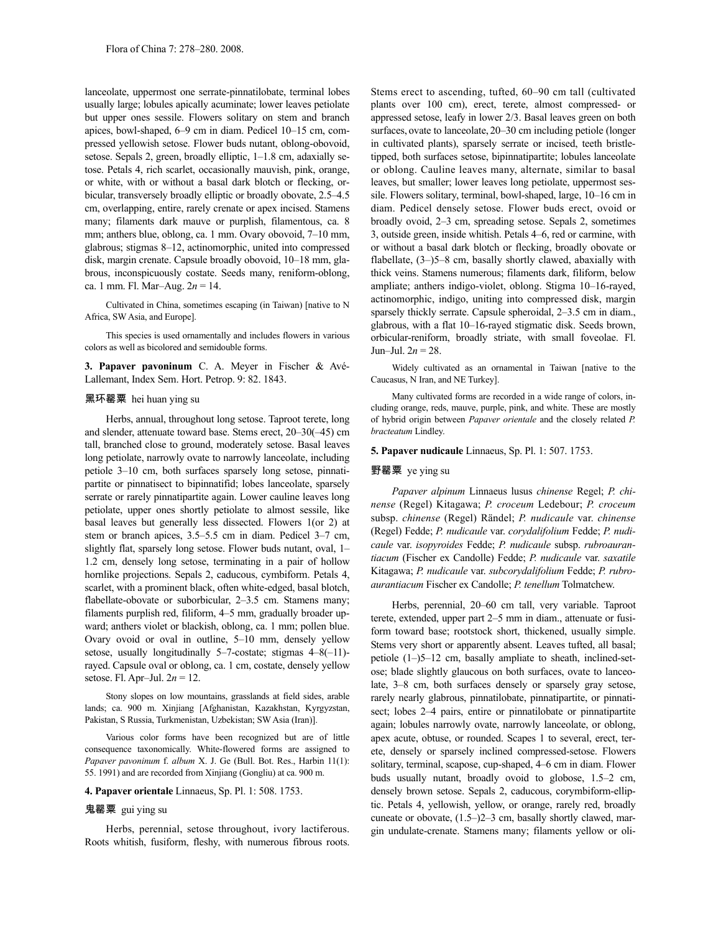lanceolate, uppermost one serrate-pinnatilobate, terminal lobes usually large; lobules apically acuminate; lower leaves petiolate but upper ones sessile. Flowers solitary on stem and branch apices, bowl-shaped, 6–9 cm in diam. Pedicel 10–15 cm, compressed yellowish setose. Flower buds nutant, oblong-obovoid, setose. Sepals 2, green, broadly elliptic, 1–1.8 cm, adaxially setose. Petals 4, rich scarlet, occasionally mauvish, pink, orange, or white, with or without a basal dark blotch or flecking, orbicular, transversely broadly elliptic or broadly obovate, 2.5–4.5 cm, overlapping, entire, rarely crenate or apex incised. Stamens many; filaments dark mauve or purplish, filamentous, ca. 8 mm; anthers blue, oblong, ca. 1 mm. Ovary obovoid, 7–10 mm, glabrous; stigmas 8–12, actinomorphic, united into compressed disk, margin crenate. Capsule broadly obovoid, 10–18 mm, glabrous, inconspicuously costate. Seeds many, reniform-oblong, ca. 1 mm. Fl. Mar–Aug. 2*n* = 14.

Cultivated in China, sometimes escaping (in Taiwan) [native to N Africa, SW Asia, and Europe].

This species is used ornamentally and includes flowers in various colors as well as bicolored and semidouble forms.

**3. Papaver pavoninum** C. A. Meyer in Fischer & Avé-Lallemant, Index Sem. Hort. Petrop. 9: 82. 1843.

## 黑环罂粟 hei huan ying su

Herbs, annual, throughout long setose. Taproot terete, long and slender, attenuate toward base. Stems erect, 20–30(–45) cm tall, branched close to ground, moderately setose. Basal leaves long petiolate, narrowly ovate to narrowly lanceolate, including petiole 3–10 cm, both surfaces sparsely long setose, pinnatipartite or pinnatisect to bipinnatifid; lobes lanceolate, sparsely serrate or rarely pinnatipartite again. Lower cauline leaves long petiolate, upper ones shortly petiolate to almost sessile, like basal leaves but generally less dissected. Flowers 1(or 2) at stem or branch apices, 3.5–5.5 cm in diam. Pedicel 3–7 cm, slightly flat, sparsely long setose. Flower buds nutant, oval, 1– 1.2 cm, densely long setose, terminating in a pair of hollow hornlike projections. Sepals 2, caducous, cymbiform. Petals 4, scarlet, with a prominent black, often white-edged, basal blotch, flabellate-obovate or suborbicular, 2–3.5 cm. Stamens many; filaments purplish red, filiform, 4–5 mm, gradually broader upward; anthers violet or blackish, oblong, ca. 1 mm; pollen blue. Ovary ovoid or oval in outline, 5–10 mm, densely yellow setose, usually longitudinally 5–7-costate; stigmas 4–8(-11)rayed. Capsule oval or oblong, ca. 1 cm, costate, densely yellow setose. Fl. Apr–Jul. 2*n* = 12.

Stony slopes on low mountains, grasslands at field sides, arable lands; ca. 900 m. Xinjiang [Afghanistan, Kazakhstan, Kyrgyzstan, Pakistan, S Russia, Turkmenistan, Uzbekistan; SW Asia (Iran)].

Various color forms have been recognized but are of little consequence taxonomically. White-flowered forms are assigned to *Papaver pavoninum* f. *album* X. J. Ge (Bull. Bot. Res., Harbin 11(1): 55. 1991) and are recorded from Xinjiang (Gongliu) at ca. 900 m.

### **4. Papaver orientale** Linnaeus, Sp. Pl. 1: 508. 1753.

## 鬼罂粟 gui ying su

Herbs, perennial, setose throughout, ivory lactiferous. Roots whitish, fusiform, fleshy, with numerous fibrous roots. Stems erect to ascending, tufted, 60–90 cm tall (cultivated plants over 100 cm), erect, terete, almost compressed- or appressed setose, leafy in lower 2/3. Basal leaves green on both surfaces, ovate to lanceolate, 20–30 cm including petiole (longer in cultivated plants), sparsely serrate or incised, teeth bristletipped, both surfaces setose, bipinnatipartite; lobules lanceolate or oblong. Cauline leaves many, alternate, similar to basal leaves, but smaller; lower leaves long petiolate, uppermost sessile. Flowers solitary, terminal, bowl-shaped, large, 10–16 cm in diam. Pedicel densely setose. Flower buds erect, ovoid or broadly ovoid, 2–3 cm, spreading setose. Sepals 2, sometimes 3, outside green, inside whitish. Petals 4–6, red or carmine, with or without a basal dark blotch or flecking, broadly obovate or flabellate, (3–)5–8 cm, basally shortly clawed, abaxially with thick veins. Stamens numerous; filaments dark, filiform, below ampliate; anthers indigo-violet, oblong. Stigma 10–16-rayed, actinomorphic, indigo, uniting into compressed disk, margin sparsely thickly serrate. Capsule spheroidal, 2–3.5 cm in diam., glabrous, with a flat 10–16-rayed stigmatic disk. Seeds brown, orbicular-reniform, broadly striate, with small foveolae. Fl. Jun–Jul. 2*n* = 28.

Widely cultivated as an ornamental in Taiwan [native to the Caucasus, N Iran, and NE Turkey].

Many cultivated forms are recorded in a wide range of colors, including orange, reds, mauve, purple, pink, and white. These are mostly of hybrid origin between *Papaver orientale* and the closely related *P. bracteatum* Lindley.

#### **5. Papaver nudicaule** Linnaeus, Sp. Pl. 1: 507. 1753.

#### 野罂粟 ye ying su

*Papaver alpinum* Linnaeus lusus *chinense* Regel; *P. chinense* (Regel) Kitagawa; *P. croceum* Ledebour; *P. croceum* subsp. *chinense* (Regel) Rändel; *P. nudicaule* var. *chinense* (Regel) Fedde; *P. nudicaule* var. *corydalifolium* Fedde; *P. nudicaule* var. *isopyroides* Fedde; *P. nudicaule* subsp. *rubroaurantiacum* (Fischer ex Candolle) Fedde; *P. nudicaule* var. *saxatile* Kitagawa; *P. nudicaule* var. *subcorydalifolium* Fedde; *P. rubroaurantiacum* Fischer ex Candolle; *P. tenellum* Tolmatchew.

Herbs, perennial, 20–60 cm tall, very variable. Taproot terete, extended, upper part 2–5 mm in diam., attenuate or fusiform toward base; rootstock short, thickened, usually simple. Stems very short or apparently absent. Leaves tufted, all basal; petiole (1–)5–12 cm, basally ampliate to sheath, inclined-setose; blade slightly glaucous on both surfaces, ovate to lanceolate, 3–8 cm, both surfaces densely or sparsely gray setose, rarely nearly glabrous, pinnatilobate, pinnatipartite, or pinnatisect; lobes 2–4 pairs, entire or pinnatilobate or pinnatipartite again; lobules narrowly ovate, narrowly lanceolate, or oblong, apex acute, obtuse, or rounded. Scapes 1 to several, erect, terete, densely or sparsely inclined compressed-setose. Flowers solitary, terminal, scapose, cup-shaped, 4–6 cm in diam. Flower buds usually nutant, broadly ovoid to globose, 1.5–2 cm, densely brown setose. Sepals 2, caducous, corymbiform-elliptic. Petals 4, yellowish, yellow, or orange, rarely red, broadly cuneate or obovate, (1.5–)2–3 cm, basally shortly clawed, margin undulate-crenate. Stamens many; filaments yellow or oli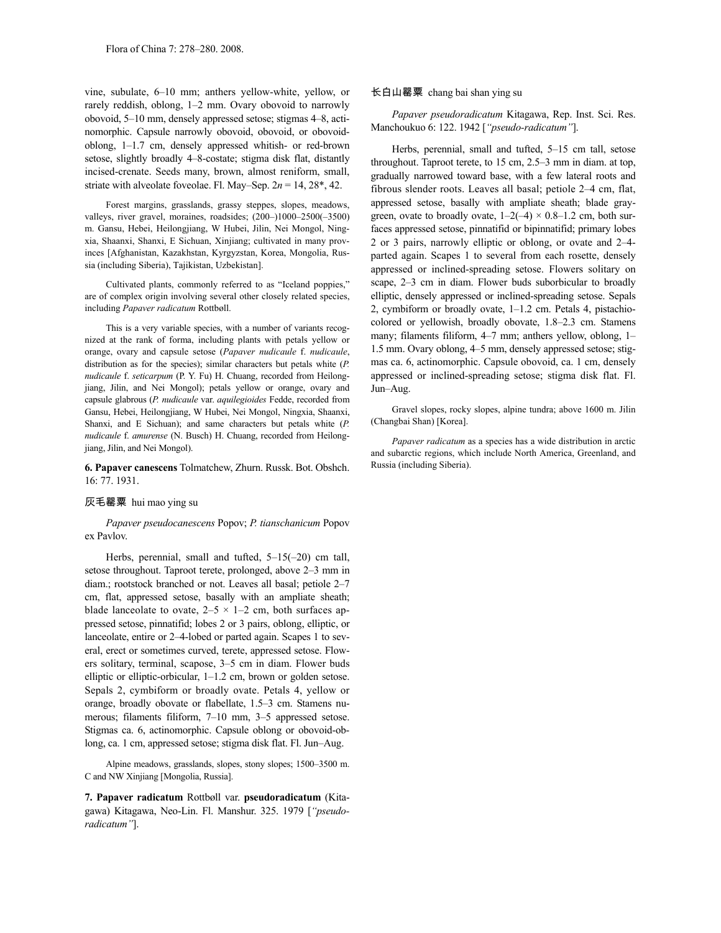vine, subulate, 6–10 mm; anthers yellow-white, yellow, or rarely reddish, oblong, 1–2 mm. Ovary obovoid to narrowly obovoid, 5–10 mm, densely appressed setose; stigmas 4–8, actinomorphic. Capsule narrowly obovoid, obovoid, or obovoidoblong, 1–1.7 cm, densely appressed whitish- or red-brown setose, slightly broadly 4–8-costate; stigma disk flat, distantly incised-crenate. Seeds many, brown, almost reniform, small, striate with alveolate foveolae. Fl. May–Sep. 2*n* = 14, 28\*, 42.

Forest margins, grasslands, grassy steppes, slopes, meadows, valleys, river gravel, moraines, roadsides; (200–)1000–2500(–3500) m. Gansu, Hebei, Heilongjiang, W Hubei, Jilin, Nei Mongol, Ningxia, Shaanxi, Shanxi, E Sichuan, Xinjiang; cultivated in many provinces [Afghanistan, Kazakhstan, Kyrgyzstan, Korea, Mongolia, Russia (including Siberia), Tajikistan, Uzbekistan].

Cultivated plants, commonly referred to as "Iceland poppies," are of complex origin involving several other closely related species, including *Papaver radicatum* Rottbøll.

This is a very variable species, with a number of variants recognized at the rank of forma, including plants with petals yellow or orange, ovary and capsule setose (*Papaver nudicaule* f. *nudicaule*, distribution as for the species); similar characters but petals white (*P. nudicaule* f. *seticarpum* (P. Y. Fu) H. Chuang, recorded from Heilongjiang, Jilin, and Nei Mongol); petals yellow or orange, ovary and capsule glabrous (*P. nudicaule* var. *aquilegioides* Fedde, recorded from Gansu, Hebei, Heilongjiang, W Hubei, Nei Mongol, Ningxia, Shaanxi, Shanxi, and E Sichuan); and same characters but petals white (*P. nudicaule* f. *amurense* (N. Busch) H. Chuang, recorded from Heilongjiang, Jilin, and Nei Mongol).

## **6. Papaver canescens** Tolmatchew, Zhurn. Russk. Bot. Obshch. 16: 77. 1931.

#### 灰毛罂粟 hui mao ying su

# *Papaver pseudocanescens* Popov; *P. tianschanicum* Popov ex Pavlov.

Herbs, perennial, small and tufted, 5–15(–20) cm tall, setose throughout. Taproot terete, prolonged, above 2–3 mm in diam.; rootstock branched or not. Leaves all basal; petiole 2–7 cm, flat, appressed setose, basally with an ampliate sheath; blade lanceolate to ovate,  $2-5 \times 1-2$  cm, both surfaces appressed setose, pinnatifid; lobes 2 or 3 pairs, oblong, elliptic, or lanceolate, entire or 2–4-lobed or parted again. Scapes 1 to several, erect or sometimes curved, terete, appressed setose. Flowers solitary, terminal, scapose, 3–5 cm in diam. Flower buds elliptic or elliptic-orbicular, 1–1.2 cm, brown or golden setose. Sepals 2, cymbiform or broadly ovate. Petals 4, yellow or orange, broadly obovate or flabellate, 1.5–3 cm. Stamens numerous; filaments filiform, 7–10 mm, 3–5 appressed setose. Stigmas ca. 6, actinomorphic. Capsule oblong or obovoid-oblong, ca. 1 cm, appressed setose; stigma disk flat. Fl. Jun–Aug.

Alpine meadows, grasslands, slopes, stony slopes; 1500–3500 m. C and NW Xinjiang [Mongolia, Russia].

**7. Papaver radicatum** Rottbøll var. **pseudoradicatum** (Kitagawa) Kitagawa, Neo-Lin. Fl. Manshur. 325. 1979 [*"pseudoradicatum"*].

#### 长白山罂粟 chang bai shan ying su

*Papaver pseudoradicatum* Kitagawa, Rep. Inst. Sci. Res. Manchoukuo 6: 122. 1942 [*"pseudo-radicatum"*].

Herbs, perennial, small and tufted, 5–15 cm tall, setose throughout. Taproot terete, to 15 cm, 2.5–3 mm in diam. at top, gradually narrowed toward base, with a few lateral roots and fibrous slender roots. Leaves all basal; petiole 2–4 cm, flat, appressed setose, basally with ampliate sheath; blade graygreen, ovate to broadly ovate,  $1-2(-4) \times 0.8-1.2$  cm, both surfaces appressed setose, pinnatifid or bipinnatifid; primary lobes 2 or 3 pairs, narrowly elliptic or oblong, or ovate and 2–4 parted again. Scapes 1 to several from each rosette, densely appressed or inclined-spreading setose. Flowers solitary on scape, 2–3 cm in diam. Flower buds suborbicular to broadly elliptic, densely appressed or inclined-spreading setose. Sepals 2, cymbiform or broadly ovate, 1–1.2 cm. Petals 4, pistachiocolored or yellowish, broadly obovate, 1.8–2.3 cm. Stamens many; filaments filiform, 4–7 mm; anthers yellow, oblong, 1– 1.5 mm. Ovary oblong, 4–5 mm, densely appressed setose; stigmas ca. 6, actinomorphic. Capsule obovoid, ca. 1 cm, densely appressed or inclined-spreading setose; stigma disk flat. Fl. Jun–Aug.

Gravel slopes, rocky slopes, alpine tundra; above 1600 m. Jilin (Changbai Shan) [Korea].

*Papaver radicatum* as a species has a wide distribution in arctic and subarctic regions, which include North America, Greenland, and Russia (including Siberia).